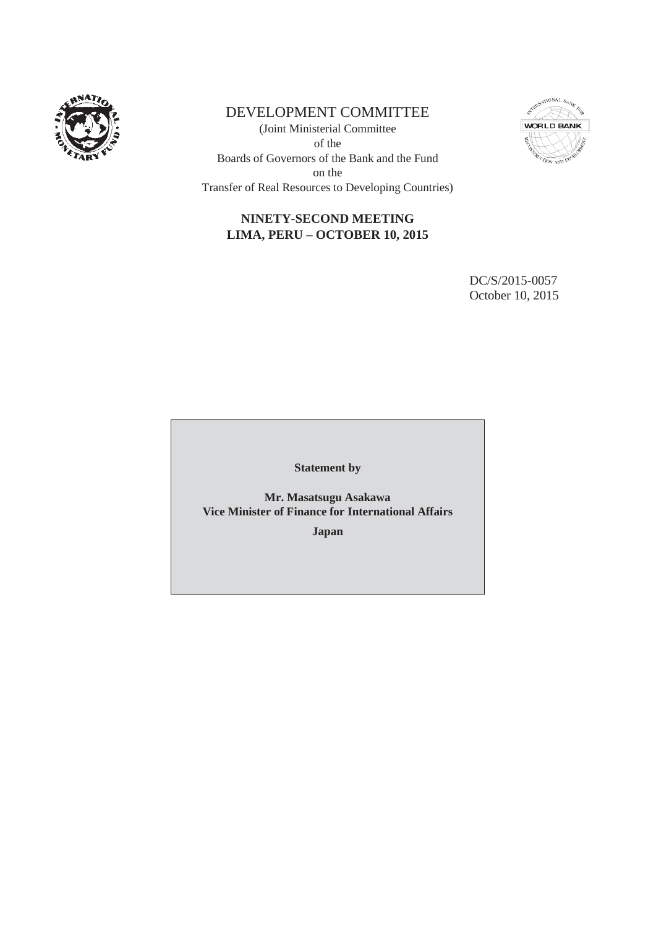

# DEVELOPMENT COMMITTEE

(Joint Ministerial Committee of the Boards of Governors of the Bank and the Fund on the Transfer of Real Resources to Developing Countries)



# **NINETY-SECOND MEETING LIMA, PERU – OCTOBER 10, 2015**

DC/S/2015-0057 October 10, 2015

**Statement by**

**Mr. Masatsugu Asakawa Vice Minister of Finance for International Affairs**

**Japan**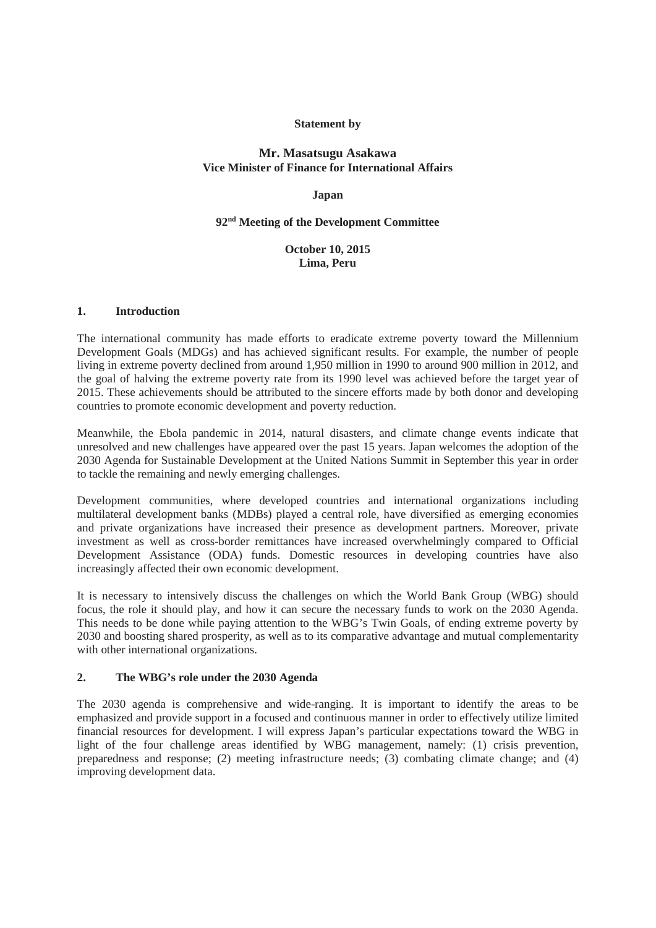### **Statement by**

# **Mr. Masatsugu Asakawa Vice Minister of Finance for International Affairs**

## **Japan**

### **92nd Meeting of the Development Committee**

## **October 10, 2015 Lima, Peru**

### **1. Introduction**

The international community has made efforts to eradicate extreme poverty toward the Millennium Development Goals (MDGs) and has achieved significant results. For example, the number of people living in extreme poverty declined from around 1,950 million in 1990 to around 900 million in 2012, and the goal of halving the extreme poverty rate from its 1990 level was achieved before the target year of 2015. These achievements should be attributed to the sincere efforts made by both donor and developing countries to promote economic development and poverty reduction.

Meanwhile, the Ebola pandemic in 2014, natural disasters, and climate change events indicate that unresolved and new challenges have appeared over the past 15 years. Japan welcomes the adoption of the 2030 Agenda for Sustainable Development at the United Nations Summit in September this year in order to tackle the remaining and newly emerging challenges.

Development communities, where developed countries and international organizations including multilateral development banks (MDBs) played a central role, have diversified as emerging economies and private organizations have increased their presence as development partners. Moreover, private investment as well as cross-border remittances have increased overwhelmingly compared to Official Development Assistance (ODA) funds. Domestic resources in developing countries have also increasingly affected their own economic development.

It is necessary to intensively discuss the challenges on which the World Bank Group (WBG) should focus, the role it should play, and how it can secure the necessary funds to work on the 2030 Agenda. This needs to be done while paying attention to the WBG's Twin Goals, of ending extreme poverty by 2030 and boosting shared prosperity, as well as to its comparative advantage and mutual complementarity with other international organizations.

# **2. The WBG's role under the 2030 Agenda**

The 2030 agenda is comprehensive and wide-ranging. It is important to identify the areas to be emphasized and provide support in a focused and continuous manner in order to effectively utilize limited financial resources for development. I will express Japan's particular expectations toward the WBG in light of the four challenge areas identified by WBG management, namely: (1) crisis prevention, preparedness and response; (2) meeting infrastructure needs; (3) combating climate change; and (4) improving development data.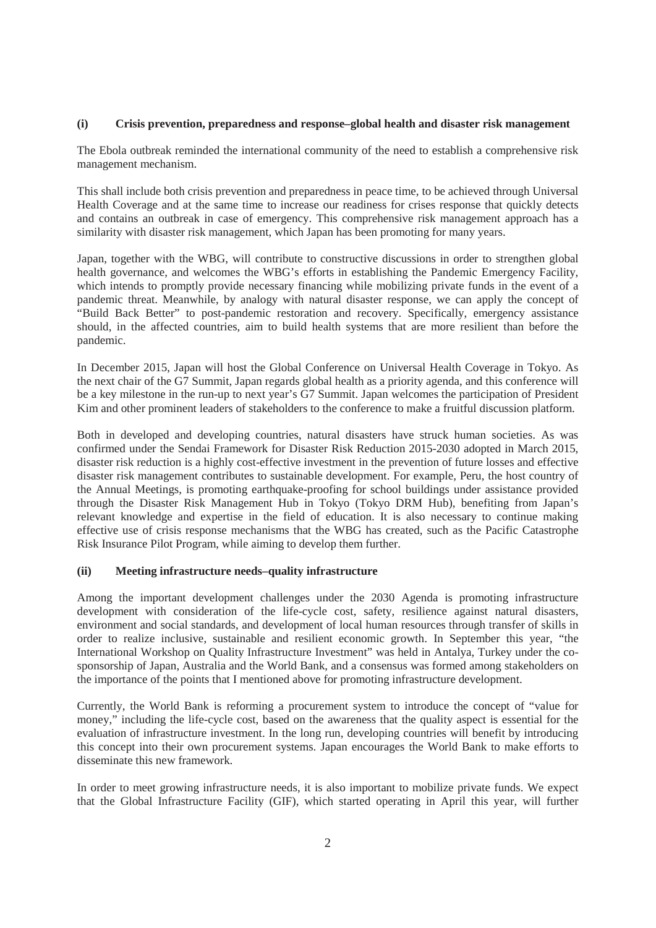#### **(i) Crisis prevention, preparedness and response–global health and disaster risk management**

The Ebola outbreak reminded the international community of the need to establish a comprehensive risk management mechanism.

This shall include both crisis prevention and preparedness in peace time, to be achieved through Universal Health Coverage and at the same time to increase our readiness for crises response that quickly detects and contains an outbreak in case of emergency. This comprehensive risk management approach has a similarity with disaster risk management, which Japan has been promoting for many years.

Japan, together with the WBG, will contribute to constructive discussions in order to strengthen global health governance, and welcomes the WBG's efforts in establishing the Pandemic Emergency Facility, which intends to promptly provide necessary financing while mobilizing private funds in the event of a pandemic threat. Meanwhile, by analogy with natural disaster response, we can apply the concept of "Build Back Better" to post-pandemic restoration and recovery. Specifically, emergency assistance should, in the affected countries, aim to build health systems that are more resilient than before the pandemic.

In December 2015, Japan will host the Global Conference on Universal Health Coverage in Tokyo. As the next chair of the G7 Summit, Japan regards global health as a priority agenda, and this conference will be a key milestone in the run-up to next year's G7 Summit. Japan welcomes the participation of President Kim and other prominent leaders of stakeholders to the conference to make a fruitful discussion platform.

Both in developed and developing countries, natural disasters have struck human societies. As was confirmed under the Sendai Framework for Disaster Risk Reduction 2015-2030 adopted in March 2015, disaster risk reduction is a highly cost-effective investment in the prevention of future losses and effective disaster risk management contributes to sustainable development. For example, Peru, the host country of the Annual Meetings, is promoting earthquake-proofing for school buildings under assistance provided through the Disaster Risk Management Hub in Tokyo (Tokyo DRM Hub), benefiting from Japan's relevant knowledge and expertise in the field of education. It is also necessary to continue making effective use of crisis response mechanisms that the WBG has created, such as the Pacific Catastrophe Risk Insurance Pilot Program, while aiming to develop them further.

#### **(ii) Meeting infrastructure needs–quality infrastructure**

Among the important development challenges under the 2030 Agenda is promoting infrastructure development with consideration of the life-cycle cost, safety, resilience against natural disasters, environment and social standards, and development of local human resources through transfer of skills in order to realize inclusive, sustainable and resilient economic growth. In September this year, "the International Workshop on Quality Infrastructure Investment" was held in Antalya, Turkey under the cosponsorship of Japan, Australia and the World Bank, and a consensus was formed among stakeholders on the importance of the points that I mentioned above for promoting infrastructure development.

Currently, the World Bank is reforming a procurement system to introduce the concept of "value for money," including the life-cycle cost, based on the awareness that the quality aspect is essential for the evaluation of infrastructure investment. In the long run, developing countries will benefit by introducing this concept into their own procurement systems. Japan encourages the World Bank to make efforts to disseminate this new framework.

In order to meet growing infrastructure needs, it is also important to mobilize private funds. We expect that the Global Infrastructure Facility (GIF), which started operating in April this year, will further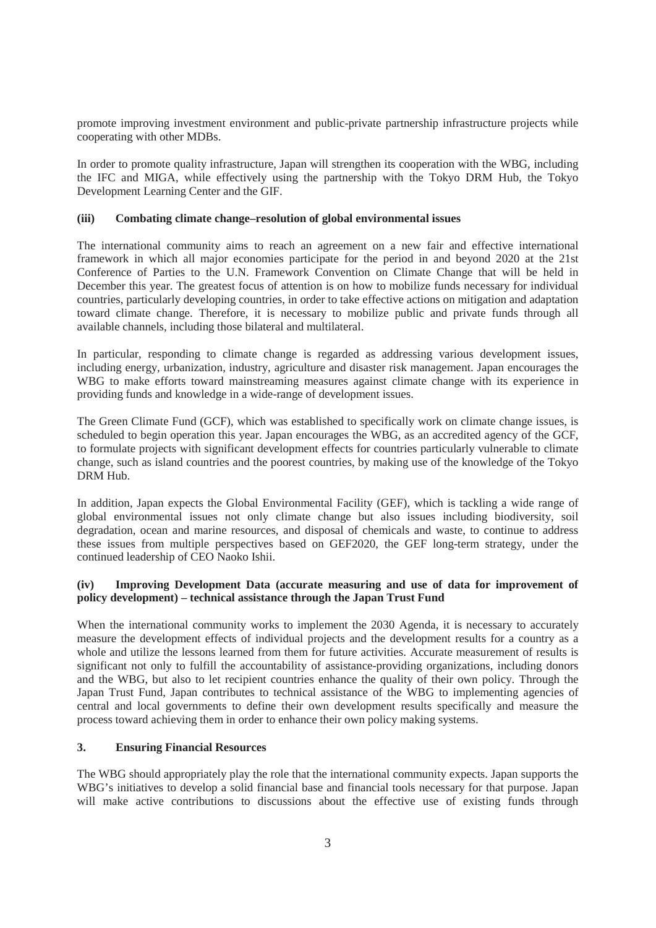promote improving investment environment and public-private partnership infrastructure projects while cooperating with other MDBs.

In order to promote quality infrastructure, Japan will strengthen its cooperation with the WBG, including the IFC and MIGA, while effectively using the partnership with the Tokyo DRM Hub, the Tokyo Development Learning Center and the GIF.

### **(iii) Combating climate change–resolution of global environmental issues**

The international community aims to reach an agreement on a new fair and effective international framework in which all major economies participate for the period in and beyond 2020 at the 21st Conference of Parties to the U.N. Framework Convention on Climate Change that will be held in December this year. The greatest focus of attention is on how to mobilize funds necessary for individual countries, particularly developing countries, in order to take effective actions on mitigation and adaptation toward climate change. Therefore, it is necessary to mobilize public and private funds through all available channels, including those bilateral and multilateral.

In particular, responding to climate change is regarded as addressing various development issues, including energy, urbanization, industry, agriculture and disaster risk management. Japan encourages the WBG to make efforts toward mainstreaming measures against climate change with its experience in providing funds and knowledge in a wide-range of development issues.

The Green Climate Fund (GCF), which was established to specifically work on climate change issues, is scheduled to begin operation this year. Japan encourages the WBG, as an accredited agency of the GCF, to formulate projects with significant development effects for countries particularly vulnerable to climate change, such as island countries and the poorest countries, by making use of the knowledge of the Tokyo DRM Hub.

In addition, Japan expects the Global Environmental Facility (GEF), which is tackling a wide range of global environmental issues not only climate change but also issues including biodiversity, soil degradation, ocean and marine resources, and disposal of chemicals and waste, to continue to address these issues from multiple perspectives based on GEF2020, the GEF long-term strategy, under the continued leadership of CEO Naoko Ishii.

# **(iv) Improving Development Data (accurate measuring and use of data for improvement of policy development) – technical assistance through the Japan Trust Fund**

When the international community works to implement the 2030 Agenda, it is necessary to accurately measure the development effects of individual projects and the development results for a country as a whole and utilize the lessons learned from them for future activities. Accurate measurement of results is significant not only to fulfill the accountability of assistance-providing organizations, including donors and the WBG, but also to let recipient countries enhance the quality of their own policy. Through the Japan Trust Fund, Japan contributes to technical assistance of the WBG to implementing agencies of central and local governments to define their own development results specifically and measure the process toward achieving them in order to enhance their own policy making systems.

# **3. Ensuring Financial Resources**

The WBG should appropriately play the role that the international community expects. Japan supports the WBG's initiatives to develop a solid financial base and financial tools necessary for that purpose. Japan will make active contributions to discussions about the effective use of existing funds through